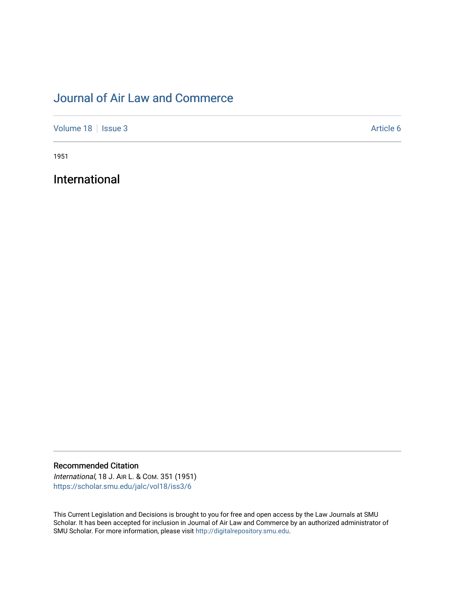# [Journal of Air Law and Commerce](https://scholar.smu.edu/jalc)

[Volume 18](https://scholar.smu.edu/jalc/vol18) | [Issue 3](https://scholar.smu.edu/jalc/vol18/iss3) Article 6

1951

International

Recommended Citation

International, 18 J. AIR L. & COM. 351 (1951) [https://scholar.smu.edu/jalc/vol18/iss3/6](https://scholar.smu.edu/jalc/vol18/iss3/6?utm_source=scholar.smu.edu%2Fjalc%2Fvol18%2Fiss3%2F6&utm_medium=PDF&utm_campaign=PDFCoverPages) 

This Current Legislation and Decisions is brought to you for free and open access by the Law Journals at SMU Scholar. It has been accepted for inclusion in Journal of Air Law and Commerce by an authorized administrator of SMU Scholar. For more information, please visit [http://digitalrepository.smu.edu](http://digitalrepository.smu.edu/).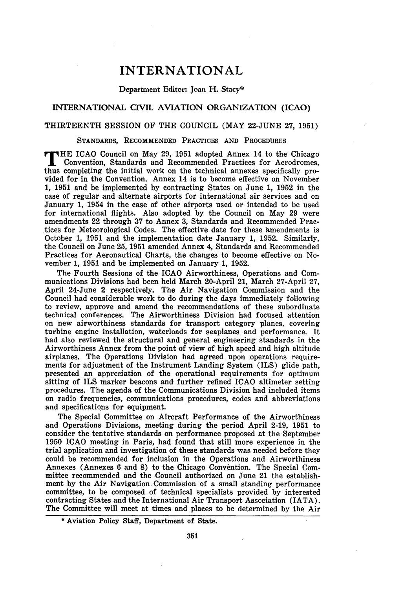# **INTERNATIONAL**

#### Department Editor: Joan H. Stacy\*

# INTERNATIONAL CIVIL AVIATION ORGANIZATION (ICAO)

# THIRTEENTH SESSION OF THE **COUNCIL** (MAY **22-JUNE 27, 1951)**

## **STANDARDS, RECOMMENDED PRACTICES AND PROCEDURES**

**T HE** ICAO Council on May **29, 1951** adopted Annex 14 to the Chicago Convention, Standards and Recommended Practices for Aerodromes, thus completing the initial work on the technical annexes specifically provided for in the Convention. Annex 14 is to become effective on November **1, 1951** and be implemented **by** contracting States on June **1, 1952** in the case of regular and alternate airports for international air services and on January **1,** 1954 in the case of other airports used or intended to be used for international flights. Also adopted **by** the Council on May **29** were amendments 22 through **37** to Annex **3,** Standards and Recommended Practices for Meteorological Codes. The effective date for these amendments is October **1, 1951** and the implementation date January **1, 1952.** Similarly, the Council on June **25, 1951** amended Annex 4, Standards and Recommended Practices for Aeronautical Charts, the changes to become effective on November **1, 1951** and be implemented on January **1, 1952.**

The Fourth Sessions of the ICAO Airworthiness, Operations and Communications Divisions had been held March 20-April 21, March 27-April **27,** April 24-June 2 respectively. The Air Navigation Commission and the Council had considerable work to do during the days immediately following to review, approve and amend the recommendations of these subordinate technical conferences. The Airworthiness Division had focused attention on new airworthiness standards for transport category planes, covering turbine engine installation, waterloads for seaplanes and performance. It had also reviewed the structural and general engineering standards in the Airworthiness Annex from the point of view of high speed and high altitude airplanes. The Operations Division had agreed upon operations requirements for adjustment of the Instrument Landing System (ILS) glide path, presented an appreciation of the operational requirements for optimum sitting of ILS marker beacons and further refined ICAO altimeter setting procedures. The agenda of the Communications Division had included items on radio frequencies, communications procedures, codes and abbreviations and specifications for equipment.

The Special Committee on Aircraft Performance of the Airworthiness and Operations Divisions, meeting during the period April **2-19, 1951** to consider the tentative standards on performance proposed at the September **1950 ICAO** meeting in Paris, had found that still more experience in the trial application and investigation of these standards was needed before they could be recommended for inclusion in the Operations and Airworthiness Annexes (Annexes 6 and **8)** to the Chicago Convention. The Special Committee recommended and the Council authorized on June 21 the establishment by the Air Navigation Commission of a small standing performance committee, to be composed of technical specialists provided by interested contracting States and the International Air Transport Association (IATA). The Committee will meet at times and places to be determined by the Air

<sup>\*</sup> Aviation Policy Staff, Department of State.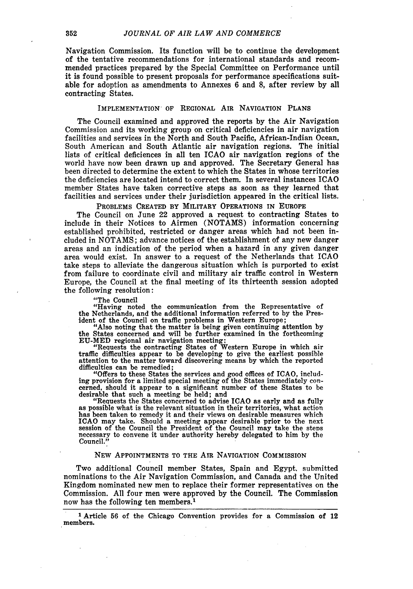Navigation Commission. Its function will be to continue the development of the tentative recommendations for international standards and recommended practices prepared **by** the Special Committee on Performance until it is found possible to present proposals for performance specifications suitable for adoption as amendments to Annexes **6** and **8,** after review **by** all contracting States.

#### **IMPLEMENTATION OF REGIONAL AIR NAVIGATION PLANS**

The Council examined and approved the reports **by** the Air Navigation Commission and its working group on critical deficiencies in air navigation facilities and services in the North and South Pacific, African-Indian Ocean, South American and South Atlantic air navigation regions. The initial lists of critical deficiences in all ten ICAO air navigation regions of the world have now been drawn up and approved. The Secretary General has been directed to determine the extent to which the States in whose territories the deficiencies are located intend to correct them. In several instances ICAO member States have taken corrective steps as soon as they learned that facilities and services under their jurisdiction appeared in the critical lists.

**PROBLEMS CREATED BY MILITARY OPERATIONS IN EUROPE**

The Council on June 22 approved a request to contracting States to include in their Notices to Airmen **(NOTAMS)** information concerning established prohibited, restricted or danger areas which had not been included in **NOTAMS;** advance notices of the establishment of any new danger areas and an indication of the period when a hazard in any given danger area would exist. In answer to a request of the Netherlands that ICAO take steps to alleviate the dangerous situation which is purported to exist from failure to coordinate civil and military air traffic control in Western Europe, the Council at the final meeting of its thirteenth session adopted the following resolution:

"The Council

"Having noted the communication from the Representative of the Netherlands, and the additional information referred to **by** the President of the Council on traffic problems in Western Europe;

"Also noting that the matter is being given continuing attention **by** the States concerned and will be further examined in the forthcoming EU-MED regional air navigation meeting; "Requests the contracting States of Western Europe in which air

traffic difficulties appear to be developing to give the earliest possible attention to the matter toward discovering means by which the reported difficulties can be remedied;

"Offers to these States the services and good offices of ICAO, including provision for a limited special meeting of the States immediately concerned, should it appear to a significant number of these States to be desirable that such a meeting be held; and

"Requests the States concerned to advise ICAO as early and as fully as possible what is the relevant situation in their territories, what action has been taken to remedy it and their views on desirable measures which **ICAO** may take. Should a meeting appear desirable prior to the next session of the Council the President of the Council may take the steps necessary to convene it under authority hereby delegated to him by the Council."

#### NEW APPOINTMENTS TO **THE** AIR NAVIGATION COMMISSION

Two additional Council member States, Spain and Egypt. submitted nominations to the Air Navigation Commission, and Canada and the United Kingdom nominated new men to replace their former representatives on the Commission. **All** four men were approved by the Council. The Commission now has the following ten members.<sup>1</sup>

**I** Article **56** of the Chicago Convention provides for a Commission of 12 members.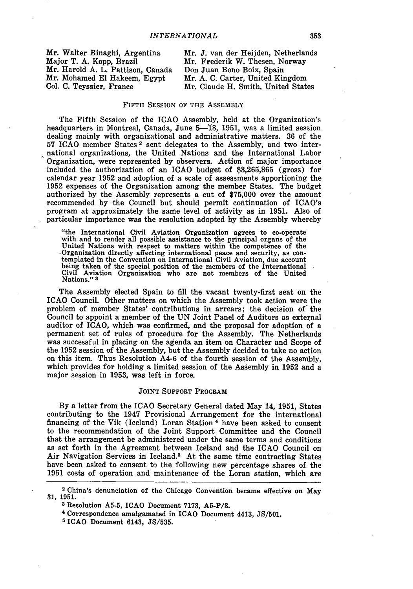| Mr. Walter Binaghi, Argentina     | Mr. J. van der Heijden. Netherlands |
|-----------------------------------|-------------------------------------|
| Major T. A. Kopp, Brazil          | Mr. Frederik W. Thesen, Norway      |
| Mr. Harold A. L. Pattison, Canada | Don Juan Bono Boix, Spain           |
| Mr. Mohamed El Hakeem, Egypt      | Mr. A. C. Carter, United Kingdom    |
| Col. C. Teyssier, France          | Mr. Claude H. Smith, United States  |

#### FIFTH SESSION OF THE ASSEMBLY

The Fifth Session of the ICAO Assembly, held at the Organization's headquarters in Montreal, Canada, June 5-18, 1951, was a limited session dealing mainly with organizational and administrative matters. 36 of the 57 ICAO member States<sup>2</sup> sent delegates to the Assembly, and two international organizations, the United Nations and the International Labor Organization, were represented by observers. Action of major importance included the authorization of an ICAO budget of \$3,265,865 (gross) for calendar year 1952 and adoption of a scale of assessments apportioning the 1952 expenses of the Organization among the member States. The budget authorized by the Assembly represents a cut of \$75,000 over the amount recommended by the Council but should permit continuation of ICAO's program at approximately the same level of activity as in 1951. Also of particular importance was the resolution adopted by the Assembly whereby

"the International Civil Aviation Organization agrees to co-operate with and to render all possible assistance to the principal organs of the United Nations with respect to matter international peace and security, as contemplated in the Convention on International Civil Aviation, due account being taken of the special position of the members of the International Civil Aviation Organization who are not members of the United Nations." **3**

The Assembly elected Spain to fill the vacant twenty-first seat on the ICAO Council. Other matters on which the Assembly took action were the problem of member States' contributions in arrears; the decision of' the Council to appoint a member of the UN Joint Panel of Auditors as external permanent set of rules of procedure for the Assembly. The Netherlands was successful in placing on the agenda an item on Character and Scope of the 1952 session of the Assembly, but the Assembly decided to take no action on this item. Thus Resolution A4-6 of the fourth session of the Assembly, which provides for holding a limited session of the Assembly in 1952 and a major session in 1953, was left in force.

#### JOINT SUPPORT PROGRAM

**By** a letter from the ICAO Secretary General dated May 14, **1951,** States contributing to the 1947 Provisional Arrangement for the international financing of the Vik (Iceland) Loran Station 4 have been asked to consent to the recommendation of the Joint Support Committee and the Council that the arrangement be administered under the same terms and conditions as set forth in the Agreement between Iceland and the ICAO Council on Air Navigation Services in Iceland.<sup>5</sup> At the same time contracting States have been asked to consent to the following new percentage shares of the **1951** costs of operation and maintenance of the Loran station, which are

<sup>2</sup> China's denunciation of the Chicago Convention became effective on May **31, 1951.**

**<sup>3</sup>** Resolution **A5-5,** ICAO Document **7173, A5-P/3.**

**<sup>4</sup>** Correspondence amalgamated in ICAO Document 4413, **JS/501.**

**<sup>5</sup> ICAO** Document 6143, **JS/535.**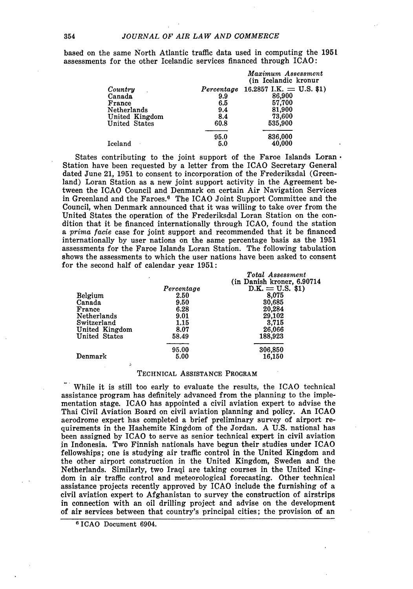based on the same North Atlantic traffic data used in computing the 1951 assessments for the other Icelandic services financed through ICAO:

|                |            | Maximum Assessment<br>(in Icelandic kronur |
|----------------|------------|--------------------------------------------|
| Country        | Percentage | 16.2857 I.K. = U.S. \$1)                   |
| Canada         | 9.9        | 86,900                                     |
| France         | 6.5        | 57,700                                     |
| Netherlands    | 9.4        | 81,900                                     |
| United Kingdom | 8.4        | 73.600                                     |
| United States  | 60.8       | 535,900                                    |
|                | 95.0       | 836,000                                    |
| Iceland        | 5.0        | 40,000                                     |

States contributing to the joint support of the Faroe Islands Loran. Station have been requested by a letter from the ICAO Secretary General dated June 21, 1951 to consent to incorporation of the Frederiksdal (Greenland) Loran Station as a new joint support activity in the Agreement between the ICAO Council and Denmark on certain Air Navigation Services in Greenland and the Faroes. 6 The ICAO Joint Support Committee and the Council, when Denmark announced that it was willing to take over from the United States the operation of the Frederiksdal Loran Station on the condition that it be financed internationally through ICAO, found the station a *prima facie* case for joint support and recommended that it be financed internationally by user nations on the same percentage basis as the 1951 assessments for the Faroe Islands Loran Station. The following tabulation shows the assessments to which the user nations have been asked to consent for the second half of calendar year 1951:

|                      | ٠          | Total Assessment            |
|----------------------|------------|-----------------------------|
|                      |            | (in Danish kroner, 6.90714) |
|                      | Percentage | $D.K. = U.S.$ \$1)          |
| <b>Belgium</b>       | 2.50       | 8,075                       |
| Canada               | 9.50       | 30,685                      |
| France               | 6.28       | 20.284                      |
| Netherlands          | 9.01       | 29,102                      |
| Switzerland          | 1.15       | 3,715                       |
| United Kingdom       | 8.07       | 26,066                      |
| <b>United States</b> | 58.49      | 188,923                     |
|                      | 95.00      | 306,850                     |
| Denmark              | 5.00       | 16,150                      |

#### TECHNICAL ASSISTANCE PROGRAM

While it is still too early to evaluate the results, the ICAO technical assistance program has definitely advanced from the planning to the implementation stage. ICAO has appointed a civil aviation expert to advise the Thai Civil Aviation Board on civil aviation planning and policy. An ICAO aerodrome expert has completed a brief preliminary survey of airport requirements in the Hashemite Kingdom of the Jordan. A U.S. national has been assigned by ICAO to serve as senior technical expert in civil aviation in Indonesia. Two Finnish nationals have begun their studies under ICAO fellowships; one is studying air traffic control in the United Kingdom and the other airport construction in the United Kingdom, Sweden and the Netherlands. Similarly, two Iraqi are taking courses in the United Kingdom in air traffic control and meteorological forecasting. Other technical assistance projects recently approved by ICAO include the furnishing of a civil aviation expert to Afghanistan to survey the construction of airstrips in connection with an oil drilling project and advise on the development of air services between that country's principal cities; the provision of an

<sup>6</sup> ICAO Document 6904.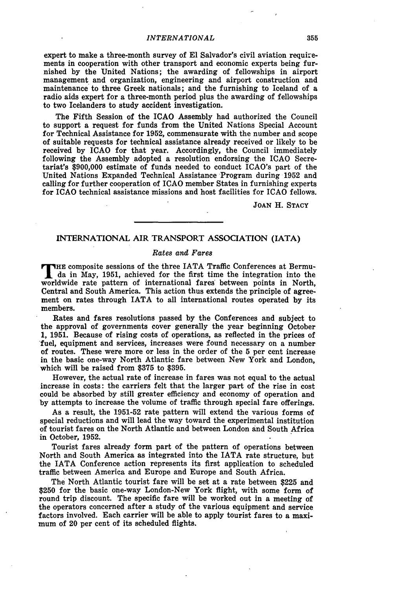#### *INTERNATIONAL*

expert to make a three-month survey of **El** Salvador's civil aviation requirements in cooperation with other transport and economic experts being furnished by the United Nations; the awarding of fellowships in airport management and organization, engineering and airport construction and maintenance to three Greek nationals; and the furnishing to Iceland of a radio aids expert for a three-month period plus the awarding of fellowships to two Icelanders to study accident investigation.

The Fifth Session of the ICAO Assembly had authorized the Council to support a request for funds from the United Nations Special Account for Technical Assistance for 1952, commensurate with the number and scope of suitable requests for technical assistance already received or likely to be received by ICAO for that year. Accordingly, the Council immediately following the Assembly adopted a resolution endorsing the ICAO Secretariat's \$900,000 estimate of funds needed to conduct ICAO's part of the United Nations Expanded Technical Assistance Program during 1952 and calling for further cooperation of ICAO member States in furnishing experts for ICAO technical assistance missions and host facilities for ICAO fellows.

**JOAN** H. **STACY**

# **INTERNATIONAL** AIR TRANSPORT **ASSOCIATION (IATA)**

#### *Rates and Fares*

THE composite sessions of the three IATA Traffic Conferences at Bermuda in May, 1951, achieved for the first time the integration into the worldwide rate pattern of international fares between points in North, Central and South America. This action thus extends the principle of agreement on rates through IATA to all international routes operated by its members.

Rates and fares resolutions passed by the Conferences and subject to the approval of governments cover generally the year beginning October 1, 1951. Because of rising costs of operations, as reflected in the prices of 'fuel, equipment and services, increases were found necessary on a number of routes. These were more or less in the order of the 5 per cent increase in the basic one-way North Atlantic fare between New York and London, which will be raised from **\$375** to **\$395.**

However, the actual rate of increase in fares was not equal to the actual increase in costs: the carriers felt that the larger part of the rise in cost could be absorbed **by** still greater efficiency and economy of operation and **by** attempts to increase the volume of traffic through special fare offerings.

As a result, the **1951-52** rate pattern will extend the various forms of special reductions and will lead the way toward the experimental institution of tourist fares on the North Atlantic and between London and South Africa in October, **1952.**

Tourist fares already form part of the pattern of operations between North and South America as integrated into the IATA rate structure, but the IATA Conference action represents its first application to scheduled traffic between America and Europe and Europe and South Africa.

The North Atlantic tourist fare will be set at a rate between **\$225** and **\$250** for the basic one-way London-New York flight, with some form of round trip discount. The specific fare will be worked out in a meeting of the operators concerned after a study of the various equipment and service factors involved. Each carrier will be able to apply tourist fares to a maximum of 20 per cent of its scheduled flights.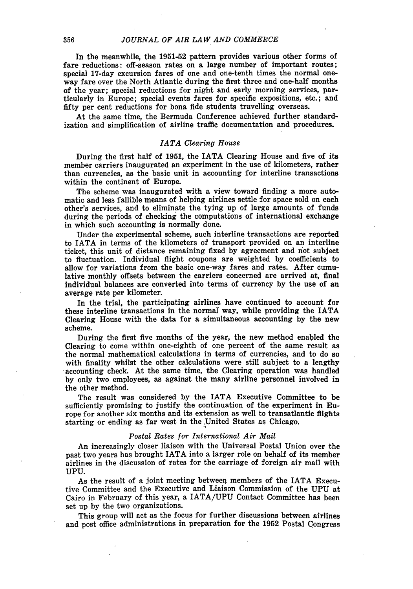In the meanwhile, the **1951-52** pattern provides various other forms of fare reductions: off-season rates on a large number of important routes; special 17-day excursion fares of one and one-tenth times the normal oneway fare over the North Atlantic during the first three and one-half months of the year; special reductions for night and early morning services, particularly in Europe; special events fares for specific expositions, etc.; and fifty per cent reductions for bona fide students travelling overseas.

At the same time, the Bermuda Conference achieved further standardization and simplification of airline traffic documentation and procedures.

#### *IATA Clearing House*

During the first half of 1951, the IATA Clearing House and five of its member carriers inaugurated an experiment in the use of kilometers, rather than currencies, as the basic unit in accounting for interline transactions within the continent of Europe.

The scheme was inaugurated with a view toward finding a more automatic and less fallible means of helping airlines settle for space sold on each other's services, and to eliminate the tying up of large amounts of funds during the periods of checking the computations of international exchange in which such accounting is normally done.

Under the experimental scheme, such interline transactions are reported to IATA in terms of the kilometers of transport provided on an interline ticket, this unit of distance remaining fixed **by** agreement and not subject to fluctuation. Individual flight coupons are weighted **by** coefficients to allow for variations from the basic one-way fares and rates. After cumulative monthly offsets between the carriers concerned are arrived at, final individual balances are converted into terms of currency **by** the use of an average rate per kilometer.

In the trial, the participating airlines have continued to account for these interline transactions in the normal way, while providing the IATA Clearing House with the data for a simultaneous accounting **by** the new scheme.

During the first five months of the year, the new method enabled the Clearing to come within one-eighth of one percent of the same result as the normal mathematical calculations in terms of currencies, and to do so accounting check. At the same time, the Clearing operation was handled **by** only two employees, as against the many airline personnel involved in the other method.

The result was considered **by** the IATA Executive Committee to be sufficiently promising to justify the continuation of the experiment in Europe for another six months and its extension as well to transatlantic flights starting or ending as far west in the ,United States as Chicago.

#### *Postal Rates for International Air Mail*

An increasingly closer liaison with the Universal Postal Union over the past two years has brought IATA into a larger role on behalf of its member airlines in the discussion of rates for the carriage of foreign air mail with UPU.

As the result of a joint meeting between members **of** the IATA Executive Committee and the Executive and Liaison Commission of the **UPU** at Cairo in February of this year, a IATA/UPU Contact Committee has been set up **by** the two organizations.

This group will act as the focus for further discussions between airlines and post office administrations in preparation for the **1952** Postal Congress